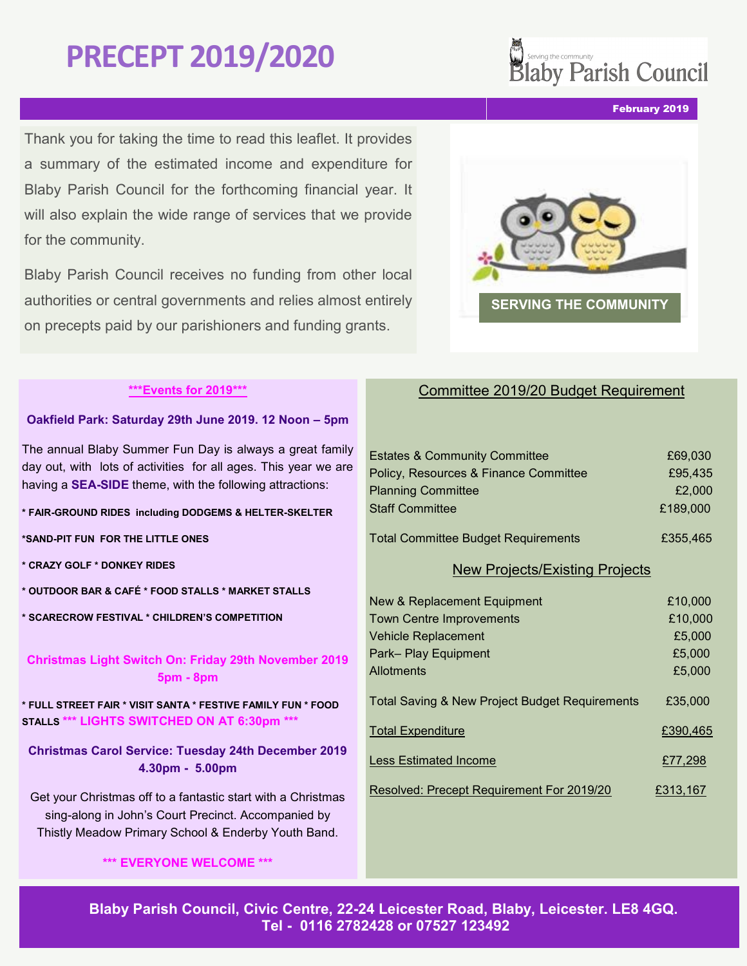# **PRECEPT 2019/2020**

Thank you for taking the time to read this leaflet. It provides a summary of the estimated income and expenditure for Blaby Parish Council for the forthcoming financial year. It will also explain the wide range of services that we provide for the community.

Blaby Parish Council receives no funding from other local authorities or central governments and relies almost entirely on precepts paid by our parishioners and funding grants.

# Committee 2019/20 Budget Requirement

| <b>Estates &amp; Community Committee</b>   | £69,030  |
|--------------------------------------------|----------|
| Policy, Resources & Finance Committee      | £95,435  |
| <b>Planning Committee</b>                  | £2,000   |
| <b>Staff Committee</b>                     | £189,000 |
| <b>Total Committee Budget Requirements</b> | £355,465 |
| <b>New Projects/Existing Projects</b>      |          |
| New & Replacement Equipment                | £10,000  |

| <b>Town Centre Improvements</b>                           | £10,000  |
|-----------------------------------------------------------|----------|
| <b>Vehicle Replacement</b>                                | £5,000   |
| Park-Play Equipment                                       | £5,000   |
| Allotments                                                | £5,000   |
| <b>Total Saving &amp; New Project Budget Requirements</b> | £35,000  |
| <b>Total Expenditure</b>                                  | £390,465 |
| <b>Less Estimated Income</b>                              | £77,298  |
| Resolved: Precept Requirement For 2019/20                 | £313,167 |

February 2019

**Blaby Parish Council, Civic Centre, 22-24 Leicester Road, Blaby, Leicester. LE8 4GQ.**

**Tel - 0116 2782428 or 07527 123492**

### **\*\*\*Events for 2019\*\*\***

#### **Oakfield Park: Saturday 29th June 2019. 12 Noon – 5pm**

The annual Blaby Summer Fun Day is always a great family day out, with lots of activities for all ages. This year we are having a **SEA-SIDE** theme, with the following attractions:

#### **\* FAIR-GROUND RIDES including DODGEMS & HELTER-SKELTER**

**\*SAND-PIT FUN FOR THE LITTLE ONES**

- **\* CRAZY GOLF \* DONKEY RIDES**
- **\* OUTDOOR BAR & CAFÉ \* FOOD STALLS \* MARKET STALLS**
- **\* SCARECROW FESTIVAL \* CHILDREN'S COMPETITION**

**Christmas Light Switch On: Friday 29th November 2019 5pm - 8pm** 

**\* FULL STREET FAIR \* VISIT SANTA \* FESTIVE FAMILY FUN \* FOOD STALLS \*\*\* LIGHTS SWITCHED ON AT 6:30pm \*\*\***

**Christmas Carol Service: Tuesday 24th December 2019 4.30pm - 5.00pm** 

Get your Christmas off to a fantastic start with a Christmas sing-along in John's Court Precinct. Accompanied by Thistly Meadow Primary School & Enderby Youth Band.

**\*\*\* EVERYONE WELCOME \*\*\***



Westing the community<br>Blaby Parish Council